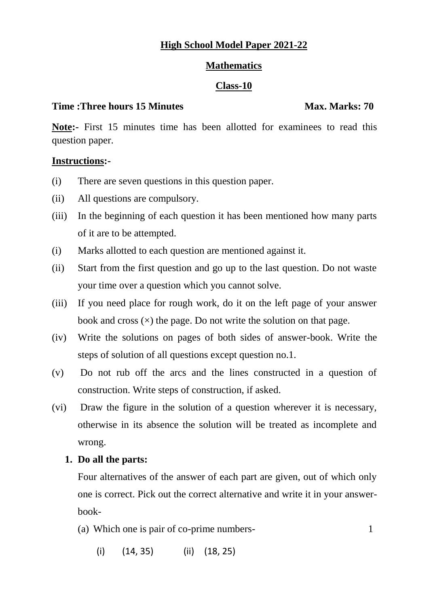## **High School Model Paper 2021-22**

## **Mathematics**

## **Class-10**

## **Time :Three hours 15 Minutes Max. Marks: 70**

Note:- First 15 minutes time has been allotted for examinees to read this question paper.

## **Instructions:-**

- (i) There are seven questions in this question paper.
- (ii) All questions are compulsory.
- (iii) In the beginning of each question it has been mentioned how many parts of it are to be attempted.
- (i) Marks allotted to each question are mentioned against it.
- (ii) Start from the first question and go up to the last question. Do not waste your time over a question which you cannot solve.
- (iii) If you need place for rough work, do it on the left page of your answer book and cross  $(x)$  the page. Do not write the solution on that page.
- (iv) Write the solutions on pages of both sides of answer-book. Write the steps of solution of all questions except question no.1.
- (v) Do not rub off the arcs and the lines constructed in a question of construction. Write steps of construction, if asked.
- (vi) Draw the figure in the solution of a question wherever it is necessary, otherwise in its absence the solution will be treated as incomplete and wrong.

## **1. Do all the parts:**

Four alternatives of the answer of each part are given, out of which only one is correct. Pick out the correct alternative and write it in your answerbook-

- (a) Which one is pair of co-prime numbers- 1
	- (i) (14, 35) (ii) (18, 25)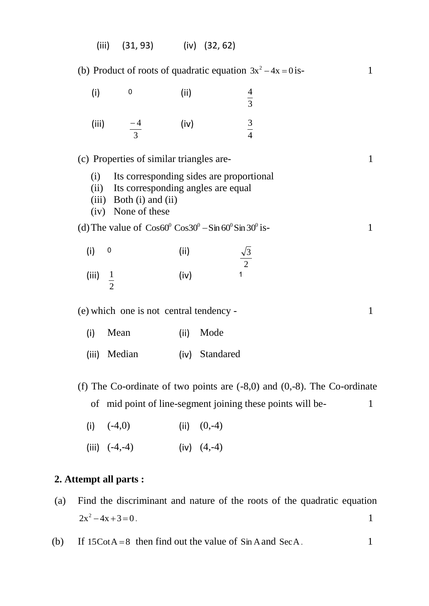|                                                                                                                                                | $(31, 93)$ (iv) $(32, 62)$<br>(iii)                                              |       |                      |  |  |  |  |
|------------------------------------------------------------------------------------------------------------------------------------------------|----------------------------------------------------------------------------------|-------|----------------------|--|--|--|--|
| (b) Product of roots of quadratic equation $3x^2 - 4x = 0$ is-<br>$\mathbf{1}$                                                                 |                                                                                  |       |                      |  |  |  |  |
| (i)                                                                                                                                            | $\pmb{0}$                                                                        | (ii)  | $\frac{4}{3}$        |  |  |  |  |
|                                                                                                                                                | $\frac{-4}{3}$<br>(iii)                                                          | (iv)  | $\frac{3}{4}$        |  |  |  |  |
|                                                                                                                                                | (c) Properties of similar triangles are-                                         |       | $\mathbf{1}$         |  |  |  |  |
| Its corresponding sides are proportional<br>(i)<br>Its corresponding angles are equal<br>(ii)<br>(iii) Both (i) and (ii)<br>(iv) None of these |                                                                                  |       |                      |  |  |  |  |
|                                                                                                                                                | (d) The value of $\cos 60^\circ \cos 30^\circ - \sin 60^\circ \sin 30^\circ$ is- |       | $\mathbf{1}$         |  |  |  |  |
| (i)                                                                                                                                            | 0                                                                                | (iii) | $\frac{\sqrt{3}}{2}$ |  |  |  |  |
| (iii)                                                                                                                                          | $\frac{1}{2}$                                                                    | (iv)  |                      |  |  |  |  |
| (e) which one is not central tendency -<br>$\mathbf{1}$                                                                                        |                                                                                  |       |                      |  |  |  |  |
| (i)                                                                                                                                            | Mean                                                                             | (ii)  | Mode                 |  |  |  |  |
| (iii)                                                                                                                                          | Median                                                                           | (iv)  | Standared            |  |  |  |  |
| (f) The Co-ordinate of two points are $(-8,0)$ and $(0,-8)$ . The Co-ordinate                                                                  |                                                                                  |       |                      |  |  |  |  |
| of mid point of line-segment joining these points will be-<br>1                                                                                |                                                                                  |       |                      |  |  |  |  |

- (i)  $(-4,0)$  (ii)  $(0,-4)$
- (iii)  $(-4,-4)$  (iv)  $(4,-4)$

# **2. Attempt all parts :**

- (a) Find the discriminant and nature of the roots of the quadratic equation  $2x^2 - 4x + 3 = 0$ .
- $(b)$  $15\text{CotA} = 8$  then find out the value of  $\sin A$  and  $\text{SecA}$ . 1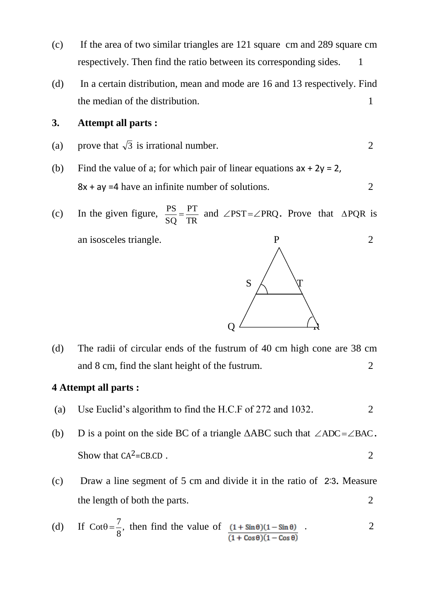- (c) If the area of two similar triangles are 121 square cm and 289 square cm respectively. Then find the ratio between its corresponding sides. 1
- (d) In a certain distribution, mean and mode are 16 and 13 respectively. Find the median of the distribution. 1

## **3. Attempt all parts :**

- (a) prove that  $\sqrt{3}$  is irrational number. 2
- (b) Find the value of a; for which pair of linear equations  $ax + 2y = 2$ ,  $8x + ay = 4$  have an infinite number of solutions.
- (c) In the given figure, TR PT SQ  $\frac{PS}{S} = \frac{PT}{TP}$  and  $\angle$ PST= $\angle$ PRQ. Prove that  $\triangle$ PQR is an isosceles triangle. P 2

(d) The radii of circular ends of the fustrum of 40 cm high cone are 38 cm and 8 cm, find the slant height of the fustrum.

## **4 Attempt all parts :**

- (a) Use Euclid's algorithm to find the H.C.F of 272 and 1032.
- (b) D is a point on the side BC of a triangle  $\triangle ABC$  such that  $\angle ADC = \angle BAC$ . Show that  $CA^2=CB.CD$ . 2
- (c) Draw a line segment of 5 cm and divide it in the ratio of 2%3. Measure the length of both the parts. 2

(d) If 
$$
\cot\theta = \frac{7}{8}
$$
, then find the value of  $\frac{(1 + \sin\theta)(1 - \sin\theta)}{(1 + \cos\theta)(1 - \cos\theta)}$ .

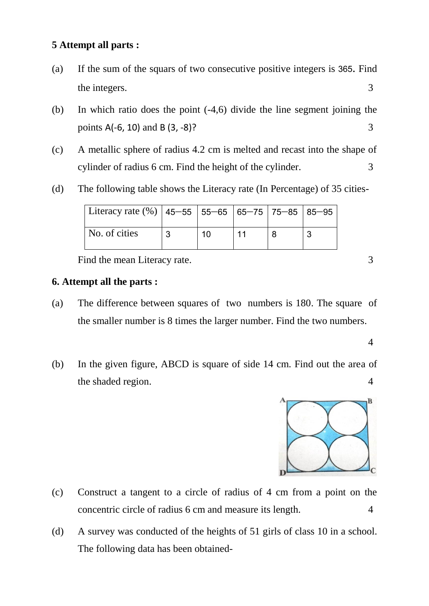## **5 Attempt all parts :**

- (a) If the sum of the squars of two consecutive positive integers is 365. Find the integers. 3
- (b) In which ratio does the point (-4,6) divide the line segment joining the points  $A(-6, 10)$  and  $B(3, -8)$ ? 3
- (c) A metallic sphere of radius 4.2 cm is melted and recast into the shape of cylinder of radius 6 cm. Find the height of the cylinder. 3
- (d) The following table shows the Literacy rate (In Percentage) of 35 cities-

| Literacy rate $(\%)$   45–55   55–65   65–75   75–85   85–95 |   |    |  |   |
|--------------------------------------------------------------|---|----|--|---|
| No. of cities                                                | 3 | 10 |  | 2 |

Find the mean Literacy rate. 3

## **6. Attempt all the parts :**

- (a) The difference between squares of two numbers is 180. The square of the smaller number is 8 times the larger number. Find the two numbers.
- (b) In the given figure, ABCD is square of side 14 cm. Find out the area of the shaded region. 4



- (c) Construct a tangent to a circle of radius of 4 cm from a point on the concentric circle of radius 6 cm and measure its length. 4
- (d) A survey was conducted of the heights of 51 girls of class 10 in a school. The following data has been obtained-

4